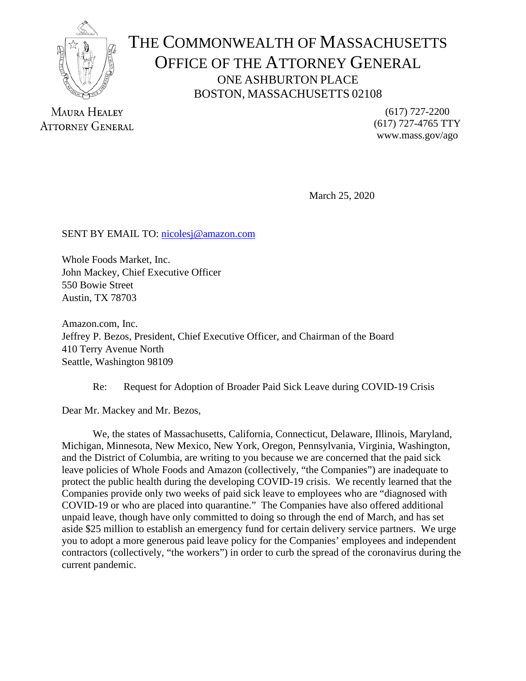

## THE COMMONWEALTH OF MASSACHUSETTS OFFICE OF THE ATTORNEY GENERAL ONE ASHBURTON PLACE BOSTON, MASSACHUSETTS 02108

MAURA HEALEY **ATTORNEY GENERAL** 

(617) 727-2200 (617) 727-4765 TTY www.mass.gov/ago

March 25, 2020

SENT BY EMAIL TO: [nicolesj@amazon.com](mailto:nicolesj@amazon.com)

Whole Foods Market, Inc. John Mackey, Chief Executive Officer 550 Bowie Street Austin, TX 78703

Amazon.com, Inc. Jeffrey P. Bezos, President, Chief Executive Officer, and Chairman of the Board 410 Terry Avenue North Seattle, Washington 98109

Re: Request for Adoption of Broader Paid Sick Leave during COVID-19 Crisis

Dear Mr. Mackey and Mr. Bezos,

We, the states of Massachusetts, California, Connecticut, Delaware, Illinois, Maryland, Michigan, Minnesota, New Mexico, New York, Oregon, Pennsylvania, Virginia, Washington, and the District of Columbia, are writing to you because we are concerned that the paid sick leave policies of Whole Foods and Amazon (collectively, "the Companies") are inadequate to protect the public health during the developing COVID-19 crisis. We recently learned that the Companies provide only two weeks of paid sick leave to employees who are "diagnosed with COVID-19 or who are placed into quarantine." The Companies have also offered additional unpaid leave, though have only committed to doing so through the end of March, and has set aside \$25 million to establish an emergency fund for certain delivery service partners. We urge you to adopt a more generous paid leave policy for the Companies' employees and independent contractors (collectively, "the workers") in order to curb the spread of the coronavirus during the current pandemic.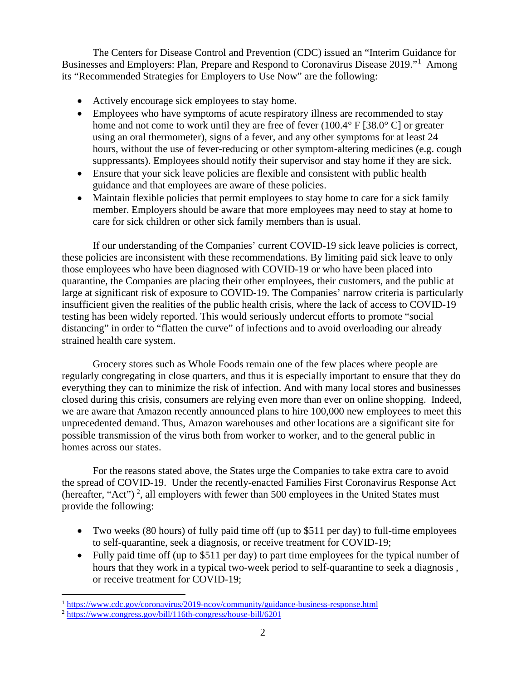The Centers for Disease Control and Prevention (CDC) issued an "Interim Guidance for Businesses and Employers: Plan, Prepare and Respond to Coronavirus Disease 20[1](#page-1-0)9."<sup>1</sup> Among its "Recommended Strategies for Employers to Use Now" are the following:

- Actively encourage sick employees to stay home.
- Employees who have symptoms of acute respiratory illness are recommended to stay home and not come to work until they are free of fever (100.4° F [38.0° C] or greater using an oral thermometer), signs of a fever, and any other symptoms for at least 24 hours, without the use of fever-reducing or other symptom-altering medicines (e.g. cough suppressants). Employees should notify their supervisor and stay home if they are sick.
- Ensure that your sick leave policies are flexible and consistent with public health guidance and that employees are aware of these policies.
- Maintain flexible policies that permit employees to stay home to care for a sick family member. Employers should be aware that more employees may need to stay at home to care for sick children or other sick family members than is usual.

If our understanding of the Companies' current COVID-19 sick leave policies is correct, these policies are inconsistent with these recommendations. By limiting paid sick leave to only those employees who have been diagnosed with COVID-19 or who have been placed into quarantine, the Companies are placing their other employees, their customers, and the public at large at significant risk of exposure to COVID-19. The Companies' narrow criteria is particularly insufficient given the realities of the public health crisis, where the lack of access to COVID-19 testing has been widely reported. This would seriously undercut efforts to promote "social distancing" in order to "flatten the curve" of infections and to avoid overloading our already strained health care system.

Grocery stores such as Whole Foods remain one of the few places where people are regularly congregating in close quarters, and thus it is especially important to ensure that they do everything they can to minimize the risk of infection. And with many local stores and businesses closed during this crisis, consumers are relying even more than ever on online shopping. Indeed, we are aware that Amazon recently announced plans to hire 100,000 new employees to meet this unprecedented demand. Thus, Amazon warehouses and other locations are a significant site for possible transmission of the virus both from worker to worker, and to the general public in homes across our states.

For the reasons stated above, the States urge the Companies to take extra care to avoid the spread of COVID-19. Under the recently-enacted Families First Coronavirus Response Act (hereafter, "Act")<sup>[2](#page-1-1)</sup>, all employers with fewer than 500 employees in the United States must provide the following:

- Two weeks (80 hours) of fully paid time off (up to \$511 per day) to full-time employees to self-quarantine, seek a diagnosis, or receive treatment for COVID-19;
- Fully paid time off (up to \$511 per day) to part time employees for the typical number of hours that they work in a typical two-week period to self-quarantine to seek a diagnosis , or receive treatment for COVID-19;

<span id="page-1-0"></span><sup>1</sup> <https://www.cdc.gov/coronavirus/2019-ncov/community/guidance-business-response.html>

<span id="page-1-1"></span><sup>2</sup> <https://www.congress.gov/bill/116th-congress/house-bill/6201>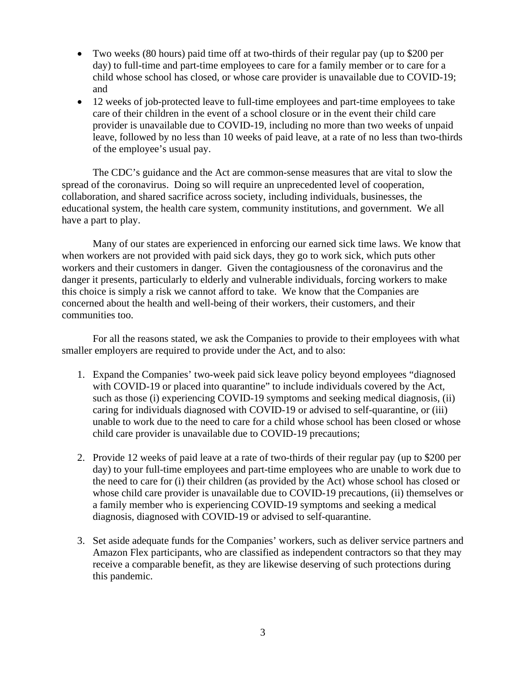- Two weeks (80 hours) paid time off at two-thirds of their regular pay (up to \$200 per day) to full-time and part-time employees to care for a family member or to care for a child whose school has closed, or whose care provider is unavailable due to COVID-19; and
- 12 weeks of job-protected leave to full-time employees and part-time employees to take care of their children in the event of a school closure or in the event their child care provider is unavailable due to COVID-19, including no more than two weeks of unpaid leave, followed by no less than 10 weeks of paid leave, at a rate of no less than two-thirds of the employee's usual pay.

The CDC's guidance and the Act are common-sense measures that are vital to slow the spread of the coronavirus. Doing so will require an unprecedented level of cooperation, collaboration, and shared sacrifice across society, including individuals, businesses, the educational system, the health care system, community institutions, and government. We all have a part to play.

Many of our states are experienced in enforcing our earned sick time laws. We know that when workers are not provided with paid sick days, they go to work sick, which puts other workers and their customers in danger. Given the contagiousness of the coronavirus and the danger it presents, particularly to elderly and vulnerable individuals, forcing workers to make this choice is simply a risk we cannot afford to take. We know that the Companies are concerned about the health and well-being of their workers, their customers, and their communities too.

For all the reasons stated, we ask the Companies to provide to their employees with what smaller employers are required to provide under the Act, and to also:

- 1. Expand the Companies' two-week paid sick leave policy beyond employees "diagnosed with COVID-19 or placed into quarantine" to include individuals covered by the Act, such as those (i) experiencing COVID-19 symptoms and seeking medical diagnosis, (ii) caring for individuals diagnosed with COVID-19 or advised to self-quarantine, or (iii) unable to work due to the need to care for a child whose school has been closed or whose child care provider is unavailable due to COVID-19 precautions;
- 2. Provide 12 weeks of paid leave at a rate of two-thirds of their regular pay (up to \$200 per day) to your full-time employees and part-time employees who are unable to work due to the need to care for (i) their children (as provided by the Act) whose school has closed or whose child care provider is unavailable due to COVID-19 precautions, (ii) themselves or a family member who is experiencing COVID-19 symptoms and seeking a medical diagnosis, diagnosed with COVID-19 or advised to self-quarantine.
- 3. Set aside adequate funds for the Companies' workers, such as deliver service partners and Amazon Flex participants, who are classified as independent contractors so that they may receive a comparable benefit, as they are likewise deserving of such protections during this pandemic.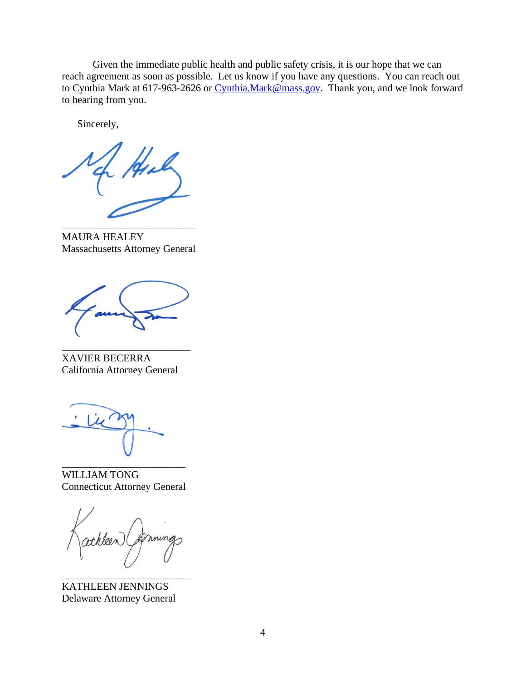Given the immediate public health and public safety crisis, it is our hope that we can reach agreement as soon as possible. Let us know if you have any questions. You can reach out to Cynthia Mark at 617-963-2626 or [Cynthia.Mark@mass.gov.](mailto:Cynthia.Mark@mass.gov) Thank you, and we look forward to hearing from you.

Sincerely,

Heal

\_\_\_\_\_\_\_\_\_\_\_\_\_\_\_\_\_\_\_\_\_\_\_\_\_\_ MAURA HEALEY Massachusetts Attorney General

\_\_\_\_\_\_\_\_\_\_\_\_\_\_\_\_\_\_\_\_\_\_\_\_\_ XAVIER BECERRA California Attorney General

\_\_\_\_\_\_\_\_\_\_\_\_\_\_\_\_\_\_\_\_\_\_\_\_ WILLIAM TONG Connecticut Attorney General

mine

\_\_\_\_\_\_\_\_\_\_\_\_\_\_\_\_\_\_\_\_\_\_\_\_\_ KATHLEEN JENNINGS Delaware Attorney General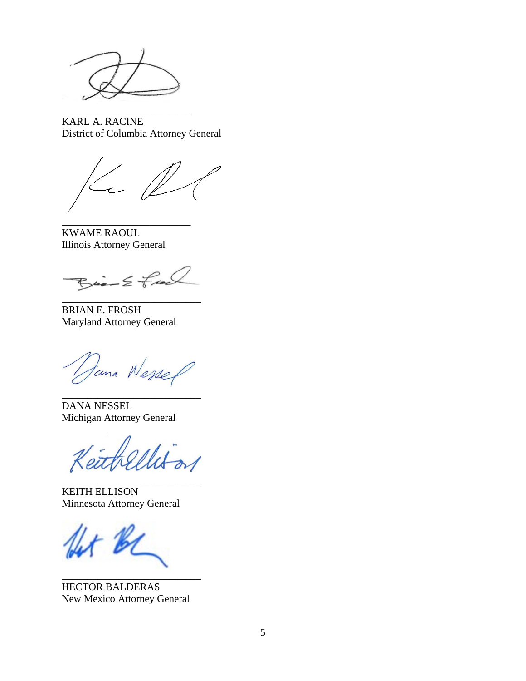

\_\_\_\_\_\_\_\_\_\_\_\_\_\_\_\_\_\_\_\_\_\_\_\_\_ KARL A. RACINE District of Columbia Attorney General

– D  ${}^{\prime\mathrel{{\mathop{\mathcal{L}_{\scriptscriptstyle{-}}}}}}$ 

KWAME RAOUL Illinois Attorney General

\_\_\_\_\_\_\_\_\_\_\_\_\_\_\_\_\_\_\_\_\_\_\_\_\_

 $Bia - 5$  feed

\_\_\_\_\_\_\_\_\_\_\_\_\_\_\_\_\_\_\_\_\_\_\_\_\_\_\_

BRIAN E. FROSH Maryland Attorney General

Jana Wessel

\_\_\_\_\_\_\_\_\_\_\_\_\_\_\_\_\_\_\_\_\_\_\_\_\_\_\_

DANA NESSEL Michigan Attorney General

\_\_\_\_\_\_\_\_\_\_\_\_\_\_\_\_\_\_\_\_\_\_\_\_\_\_\_

KEITH ELLISON Minnesota Attorney General

 $\frac{1}{2}$ 

\_\_\_\_\_\_\_\_\_\_\_\_\_\_\_\_\_\_\_\_\_\_\_\_\_\_\_ HECTOR BALDERAS New Mexico Attorney General